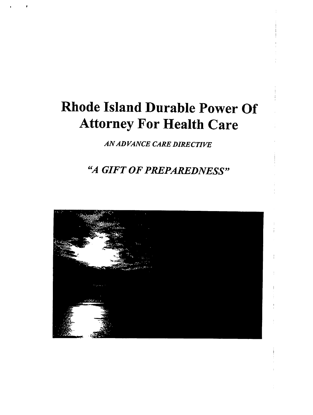# Rhode Island Durable Power Of Attorney For Health Care

ANADVANCE CARE DIRECTIVE

## "A GIFT OF PREPAREDNESS"

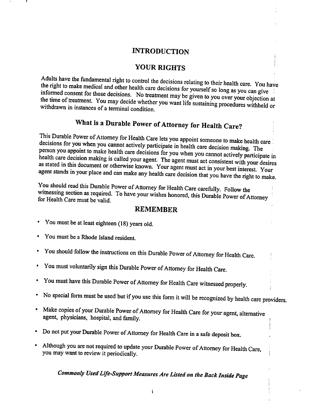#### INTRODUCTION

#### YOUR RIGHTS

the right to make medical and other health care decisions for yourself so long as you can give  $\frac{1}{2}$  the right to make medical and  $\frac{1}{2}$  the control the decisions relating to their health care informed consent for those decisions. No treatment may be given to you over your objection at the time of treatment. You may decide whether you want life sustaining procedures withheld or withdrawn in instances of a terminal condition.

## What is a Durable Power of Attorney for Health Care?

This Durable Power of Attorney for Health Care lets you appoint someone to make health care decisions for you when you cannot actively participate in health care decision making. The person you appoint to make health care decisions for you when you cannot actively participate in health care decision making is called your agent. The agent must act consistent with your desires as stated in this document or otherwise known. Your agent must act in your best interest. Your agent stands in your place and can make any health care decision that you have the right to make.

You should read this Durable Power of Attorney for Health Care carefully. Follow the witnessing section as required. To have your wishes honored, this Durable Power of Attorney for Health Care must be valid.

#### REMEMBER

- You must be at least eighteen (18) years old.
- You must be a Rhode Island resident.
- You should follow the instructions on this Durable Power of Attorney for Health Care.
- You must voluntarily sign this Durable Power of Attorney for Health Care.
- You must have this Durable Power of Attorney for Health Care witnessed properly.  $\bullet$
- No special form must be used but if you use this form it will be recognized by health care providers.
- Make copies of your Durable Power of Attorney for Health Care for your agent, alternative agent, physicians, hospital, and family.
- Do not put your Durable Power of Attorney for Health Care in a safe deposit box.
- Although you are not required to update your Durable Power of Attorney for Health Care you may want to review it periodically.

## Commonly Used Life-Support Measures Are Listed on the Back Inside Page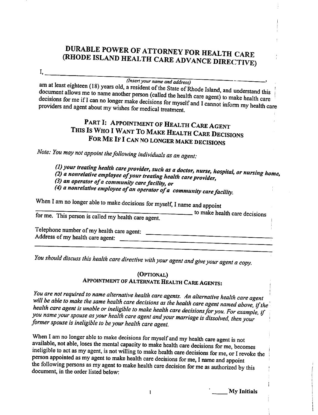## DURABLE POWER OF ATTORNEY FOR HEALTH CARF (RHODE ISLAND HEALTH CARE ADVANCE DIRECTIVE)

I,.

### (Insert your name and address)

document ellows  $\ldots$ ,  $\ldots$  and  $\ldots$ , a resident of the State of Rhode Island, and understand decisions for me if I can no longer make decisions for myself and I cannot inform my health care providers and agent about my wishes for medical treatment.

## PART I: APPOINTMENT OF HEALTH CARE AGENT THIS IS WHO I WANT TO MAKE HEALTH CARE DECISIONS FOR ME IF I CAN NO LONGER MAKE DECISIONS

Note: You may not appoint the following individuals as an agent:

(1) your treating health care provider, such as a doctor, nurse, hospital, or nursing home,<br>(2) a nonrelative employee of your treating health care and it.

(2) a nonrelative employee of your treating health care provider,<br>(3) an anometer of pour treating health care provider,

 $(3)$  an operator of a community care facility, or

 $(4)$  a nonrelative employee of an operator of a community care facility.

When I am no longer able to make decisions for myself, I name and appoint

for me. This person is called my health care agent.  $\frac{1}{10}$  to make health care decisions

Telephone number of my health care agent: Address of my health care agent:

You should discuss this health care directive with your agent and give your agent a copy.

#### (Optional) Appointment of Alternate Health Care Agents:

You are not required to name alternative health care agents. An alternative health care agent will be able to make the same health care decisions as the health care agent named above, if the health care agent is unable or ineligible to make health care decisions for you. For example, if you name your spouse as your health care agent and your marriage is dissolved, then your former spouse is ineligible to be your health care agent.

When I am no longer able to make decisions for myself and my health care agent is not available, not able, loses the mental capacity to make health care decisions for me, becomes ineligible to act as my agent, is not willing to make health care decisions for me, or I revoke the person appointed as my agent to make health care decisions for me, I name and appoint the following persons as my agent to make health care decision for me as authorized by this document, in the order listed below:

.My Initials

 $\mathbf{1}$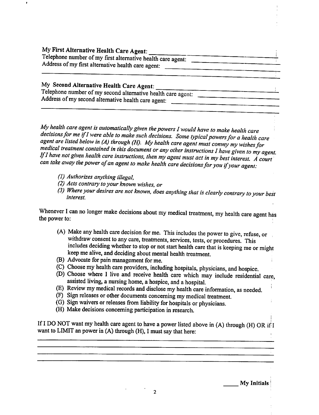My First Alternative Health Care Agent: Telephone number of my first alternative health care agent: Address of my first alternative health care agent:

### My Second Alternative Health Care Agent:

Telephone number of my second alternative health care agent: Address of my second alternative health care agent:

My health care agent is automatically given the powers  $I$  would have to make health care decisions for me if I were able to make such decisions. Some typical powers for a health care agent are listed below in (A) through (H). My health care agent must convey my wishes for medical treatment contained in this document or any other instructions I have given to my agent. If I have not given health care instructions, then my agent must act in my best interest. A court can take away the power of an agent to make health care decisions for you if your agent:

- (1) Authorizes anything illegal,
- (2) Acts contrary to your known wishes, or
- (3) Where your desires are not known, does anything that is clearly contrary to your best interest.

Whenever I can no longer make decisions about my medical treatment, my health care agent has the power to:

- (A) Make any health care decision for me. This includes the power to give, refuse, or withdraw consent to any care, treatments, services, tests, or procedures. This includes deciding whether to stop or not start health care that is keeping me or might keep me alive, and deciding about mental health treatment.
- (B) Advocate for pain management for me.
- (C) Choose my health care providers, including hospitals, physicians, and hospice.
- (D) Choose where I live and receive health care which may include residential care, assisted living, a nursing home, a hospice, and a hospital.
- (E) Review my medical records and disclose my health care information, as needed.
- (F) Sign releases or other documents concerning my medical treatment.
- (G) Sign waivers or releases from liability for hospitals or physicians.
- (H) Make decisions concerning participation in research.

If I DO NOT want my health care agent to have a power listed above in (A) through (H) OR if I want to LIMIT an power in  $(A)$  through  $(H)$ , I must say that here: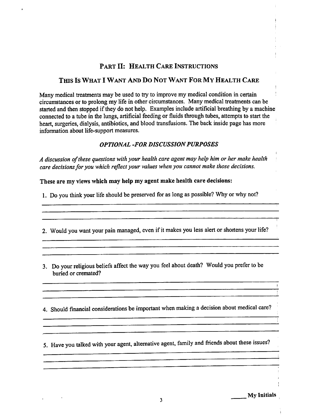#### Part II: Health Care Instructions

#### This Is What Want And Do Not Want For My Health Care

Many medical treatments may be used to try to improve my medical condition in certain circumstances or to prolong my life in other circumstances. Many medical treatments can be started and then stopped if they do not help. Examples include artificial breathing by a machine connected to a tube in the lungs, artificial feeding or fluids through tubes, attempts to start the heart, surgeries, dialysis, antibiotics, and blood transfusions. The back inside page has more information about life-support measures.

#### OPTIONAL -FOR DISCUSSION PURPOSES

A discussion of these questions with your health care agent may help him or her make health care decisions for you which reflect your values when you cannot make those decisions.

These are my views which may help my agent make health care decisions:

1. Do you think your life should be preserved for as long as possible? Why or why not?

2. Would you want your pain managed, even if it makes you less alert or shortens your life?

3. Do your religious beliefs affect the way you feel about death? Would you prefer to be buried or cremated?

4. Should financial considerations be important when making a decision about medical care?

5. Have you talked with your agent, alternative agent, family and friends about these issues?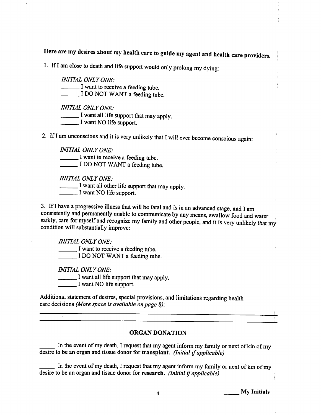Here are my desires about my health care to guide my agent and health care providers,

1. If I am close to death and life support would only prolong my dying:

INITIAL ONLY ONE: I want to receive a feeding tube. I DO NOT WANT a feeding tube. INITIAL ONLY ONE:  $\sqrt{I}$  want all life support that may apply.

**I** want NO life support.

2. If I am unconscious and it is very unlikely that I will ever become conscious again:

INITIAL ONLY ONE:  $\Box$  I want to receive a feeding tube. \_ I DO NOT WANT a feeding tube.

INITIAL ONLY ONE:

 $\frac{1}{1}$  want all other life support that may apply.

Let I want NO life support.

3. If I have a progressive illness that will be fatal and is in an advanced stage, and I am consistently and permanently unable to communicate by any means, swallow'food and water safely, care for myself and recognize my family and other people, and it is very unlikely that my condition will substantially improve:

INITIAL ONLY ONE:

 $\blacksquare$  I want to receive a feeding tube.  $\Box$  I DO NOT WANT a feeding tube.

INITIAL ONLY ONE:

 $\frac{1}{2}$  I want all life support that may apply.

I want NO life support.

Additional statement of desires, special provisions, and limitations regarding health care decisions (More space is available on page 8):

#### ORGAN DONATION

In the event of my death, I request that my agent inform my family or next of kin of my desire to be an organ and tissue donor for transplant. (Initial if applicable)

In the event of my death, I request that my agent inform my family or next of kin of my desire to be an organ and tissue donor for research. (Initial if applicable)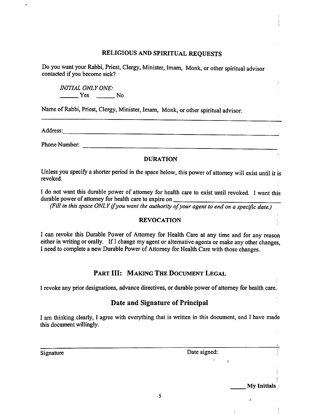#### RELIGIOUS AND SPIRITUAL REQUESTS

Do you want your Rabbi, Priest, Clergy, Minister, Imam, Monk, or other spiritual advisor contacted if you become sick?

INITIAL ONLY ONE: No Ves No

Name of Rabbi, Priest, Clergy, Minister, Imam, Monk, or other spiritual advisor:

Address: <u>Address: Address: Address: Address: Address: Address: Address: Address: Address: Address: Address: Address: Address: Address: Address: Address: Address: Address: Address: Address: Address: Address: Address: Addre</u>

Phone Number:

#### DURATION

Unless you specify a shorter period in the space below, this power of attorney will exist until it is revoked.

I do not want this durable power of attorney for health care to exist until revoked. I want this durable power of attorney for health care to expire on

(Fill in this space ONLY if you want the authority of your agent to end on a specific date.)

#### REVOCATION

I can revoke this Durable Power of Attorney for Health Care at any time and for any reason either in writing or orally. If I change my agent or alternative agents or make any other changes, I need to complete a new Durable Power of Attorney for Health Care with those changes.

#### PART III: MAKING THE DOCUMENT LEGAL

I revoke any prior designations, advance directives, or durable power of attorney for health care.

#### Date and Signature of Principal

I am thinking clearly, I agree with everything that is written in this document, and I have made this document willingly.

Signature Date signed:

 $\mathcal{F}$ 

 $\mathbf{r}$ 

My Initials

ř

 $\mathbf{I}$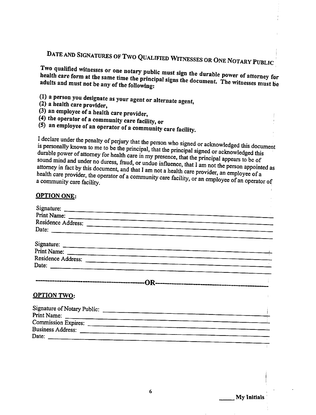#### DATE AND SIGNATURES OFTWO QUALIFIED WITNESSES

Two qualified witnesses or one notary public must sign the durable power of attorney for<br>health care form at the same time the principal signs the durable power of attorney for health care form at the same time the principal signs the document. The witnesses must be adults and must not be any of the following:

- (1) a person you designate as your agent or alternate agent,  $(2)$  a health care provider.
- 
- $(3)$  an employee of a health care provider,
- $(4)$  the operator of a community care facility, or
- $(5)$  an employee of an operator of a community care facility.

I declare under the penalty of perjury that the person who signed or acknowledged this document<br>is personally known to me to be the principal that the principal signal of is personally known to me to be the principal, that the principal signed or acknowledged this docum<br>durable power of attorney for health care in my presence, that if durable power of attorney for health care in my presence, that the principal signed or acknowledged this<br>sound mind and under no duress, fraud, or undue influence at the principal appears to be of sound mind and under no duress, fraud, or undue influence, that I am not the person appointed as<br>attorney in fact by this document, and that I am not a health some way. attorney in fact by this document, and that I am not a health care provider, an employee of a<br>health care provider, the operator of a community care field. community care facility  $\mathcal{L}$  and  $\mathcal{L}$  and  $\mathcal{L}$  and  $\mathcal{L}$  and  $\mathcal{L}$  and  $\mathcal{L}$  of an operator of

| <b>OPTION ONE:</b>          |  |
|-----------------------------|--|
|                             |  |
|                             |  |
| Print Name:                 |  |
| Residence Address:          |  |
|                             |  |
|                             |  |
|                             |  |
| Print Name:                 |  |
| Residence Address:<br>Date: |  |
|                             |  |
|                             |  |
| <b>OPTION TWO:</b>          |  |
| Signature of Notary Public: |  |
|                             |  |
|                             |  |
|                             |  |
|                             |  |
|                             |  |

.My Initials

OR ONE NOTARY PUBLIC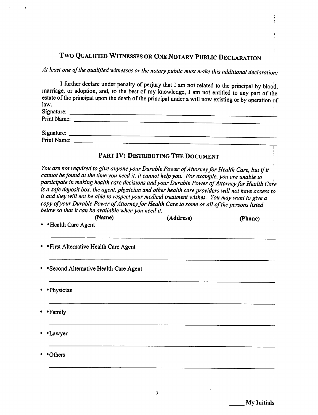## Two Qualified Witnesses or One Notary Public Declaration

At least one of the qualified witnesses or the notary public must make this additional declaration:

|                                     | I further declare under penalty of perjury that I am not related to the principal by blood,<br>marriage, or adoption, and, to the best of my knowledge, I am not entitled to any part of the |
|-------------------------------------|----------------------------------------------------------------------------------------------------------------------------------------------------------------------------------------------|
|                                     | estate of the principal upon the death of the principal under a will now existing or by operation of                                                                                         |
| law.                                |                                                                                                                                                                                              |
| Signature:                          |                                                                                                                                                                                              |
|                                     | Print Name: ____                                                                                                                                                                             |
| Signature: $\overline{\phantom{a}}$ |                                                                                                                                                                                              |
| Print Name:                         |                                                                                                                                                                                              |

#### PART IV: DISTRIBUTING THE DOCUMENT

You are not required to give anyone your Durable Power of Attorney for Health Care, but if it cannot be found at the time you need it, it cannot help you. For example, you are unable to participate in making health care decisions and your Durable Power of Attorney for Health Care is a safe deposit box, the agent, physician and other health care providers will not have access to it and they will not be able to respect your medical treatment wishes. You may want to give copy of your Durable Power of Attorney for Health Care to some or all of the persons listed below so that it can be available when you need it.

| (Address) | (Phone) |
|-----------|---------|
|           |         |
|           |         |
|           |         |
|           |         |
|           |         |
|           |         |
|           |         |
|           |         |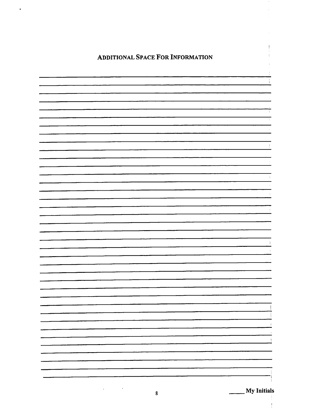### Additional Space For Information

 $\bullet$ 

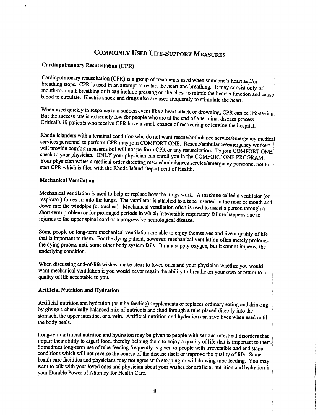## Commonly Used Life-Support Measures

#### Cardiopulmonary Resuscitation (CPR)

Cardiopulmonary resuscitation (CPR) is group of treatments used when someone's heart and/or breathing stops. CPR is used in an attempt to restart the heart and breathing. It may consist only of moudi-to-mouth breathing or it can include pressing on the chest to mimic the heart's function and cause blood to circulate. Electric shock and drugs also are used frequently to stimulate the heart.

When used quickly in response to a sudden event like a heart attack or drowning, CPR can be life-saving. But the success rate is extremely low for people who are at the end of a terminal disease process. Critically ill patients who receive CPR have a small chance of recovering or leaving the hospital.

Rhode Islanders with a terminal condition who do not want rescue/ambulance service/emergency medical services personnel to perform CPR may join COMFORT ONE. Rescue/ambulance/emergency workers will provide comfort measures but will not perform CPR or any resuscitation. To join COMFORT ONE, speak to your physician. ONLY your physician can enroll you in the COMFORT ONE PROGRAM Your physician writes a medical order directing rescue/ambulances service/emergency personnel not to start CPR which is filed with the Rhode Island Department of Health.

#### Mechanical Ventilation

Mechanical ventilation is used to help or replace how the lungs work. A machine called a ventilator (or respirator) forces air into the lungs. The ventilator is attached to a tube inserted in the nose or mouth and down into the windpipe (or trachea). Mechanical ventilation often is used to assist a person through a short-term problem or for prolonged periods in which irreversible respiratory failure happens due to injuries to the upper spinal cord or a progressive neurological disease.

Some people on long-term mechanical ventilation are able to enjoy themselves and live a quality of life that is important to them. For the dying patient, however, mechanical ventilation often merely prolongs the dying process until some other body system fails. It may supply oxygen, but it cannot improve the underlying condition.

When discussing end-of-life wishes, make clear to loved ones and your physician whether you would want mechanical ventilation if you would never regain the ability to breathe on your own or return to a quality of life acceptable to you.

#### Artificial Nutrition and Hydration

Artificial nutrition and hydration (or tube feeding) supplements or replaces ordinary eating and drinking by giving a chemically balanced mix of nutrients and fluid through a tube placed directly into the stomach, the upper intestine, or a vein. Artificial nutrition and hydration can save lives when used until the body heals.

Long-term artificial nutrition and hydration may be given to people with serious intestinal disorders that impair their ability to digest food, thereby helping them to enjoy a quality of life that is important to them. Sometimes long-term use of tube feeding frequently is given to people with irreversible and end-stage conditions which will not reverse the course of the disease itself or improve the quality of life. Some health care facilities and physicians may not agree with stopping or withdrawing tube feeding. You may want to talk with your loved ones and physician about your wishes for artificial nutrition and hydration in your Durable Power of Attorney for Health Care.